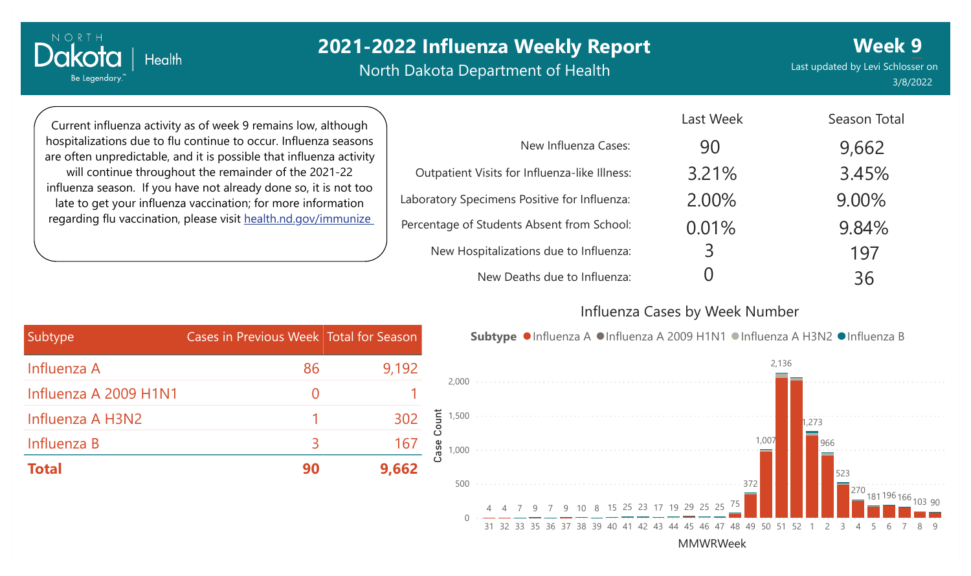North Dakota Department of Health

Last updated by Levi Schlosser on 3/8/2022 **Week 9**

Current influenza activity as of week 9 remains low, although hospitalizations due to flu continue to occur. Influenza seasons are often unpredictable, and it is possible that influenza activity will continue throughout the remainder of the 2021-22 influenza season. If you have not already done so, it is not too late to get your influenza vaccination; for more information regarding flu vaccination, please visit [health.nd.gov/immunize](http://health.nd.gov/immunize)

**Health** 

NORTH

Dakota

Be Legendary.

|                                               | Last Week | Season Total |
|-----------------------------------------------|-----------|--------------|
| New Influenza Cases:                          | 90        | 9,662        |
| Outpatient Visits for Influenza-like Illness: | 3.21%     | 3.45%        |
| Laboratory Specimens Positive for Influenza:  | 2.00%     | 9.00%        |
| Percentage of Students Absent from School:    | 0.01%     | 9.84%        |
| New Hospitalizations due to Influenza:        | 3         | 197          |
| New Deaths due to Influenza:                  |           | 36           |

#### Influenza Cases by Week Number

| Subtype               | Cases in Previous Week Total for Season |       |
|-----------------------|-----------------------------------------|-------|
| Influenza A           | 86                                      | 9,192 |
| Influenza A 2009 H1N1 | $\mathcal{O}$                           |       |
| Influenza A H3N2      |                                         | 302   |
| Influenza B           | 3                                       | 167   |
| <b>Total</b>          | 90                                      | 9,662 |

Subtype ●Influenza A ●Influenza A 2009 H1N1 ●Influenza A H3N2 ●Influenza B

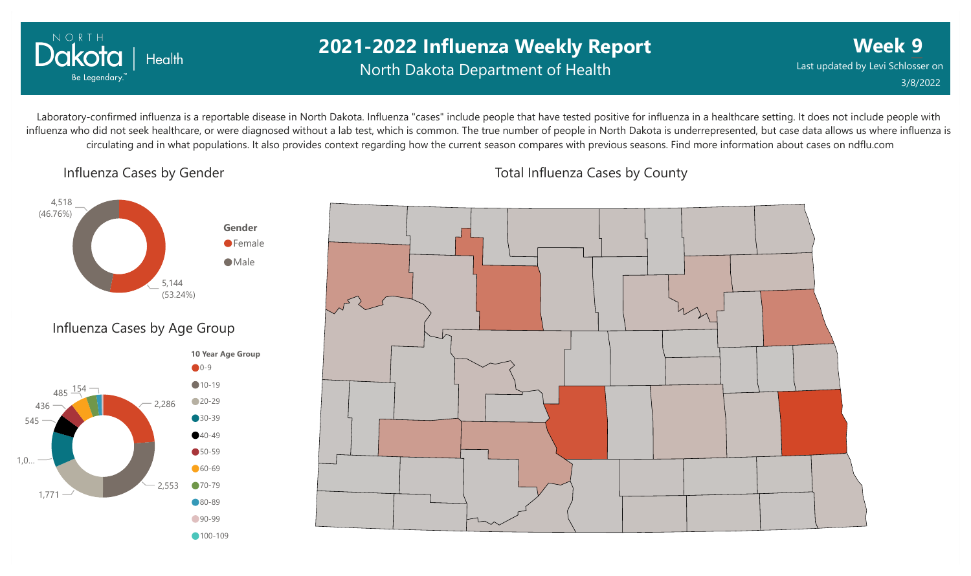

## **2021-2022 Influenza Weekly Report** North Dakota Department of Health

**Week 9** Last updated by Levi Schlosser on 3/8/2022

Laboratory-confirmed influenza is a reportable disease in North Dakota. Influenza "cases" include people that have tested positive for influenza in a healthcare setting. It does not include people with influenza who did not seek healthcare, or were diagnosed without a lab test, which is common. The true number of people in North Dakota is underrepresented, but case data allows us where influenza is circulating and in what populations. It also provides context regarding how the current season compares with previous seasons. Find more information about cases on ndflu.com

Influenza Cases by Gender





Total Influenza Cases by County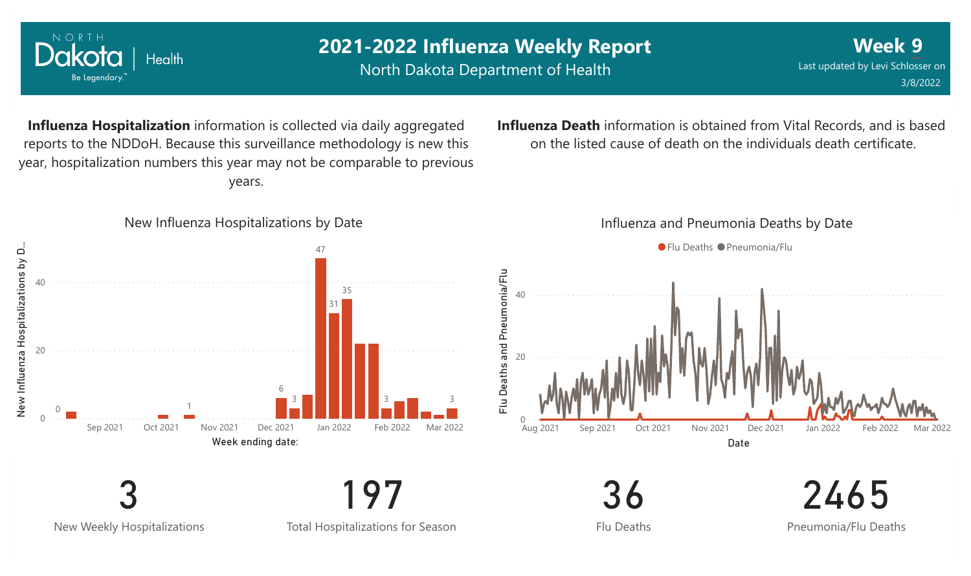

New Weekly Hospitalizations

Total Hospitalizations for Season

Flu Deaths

Pneumonia/Flu Deaths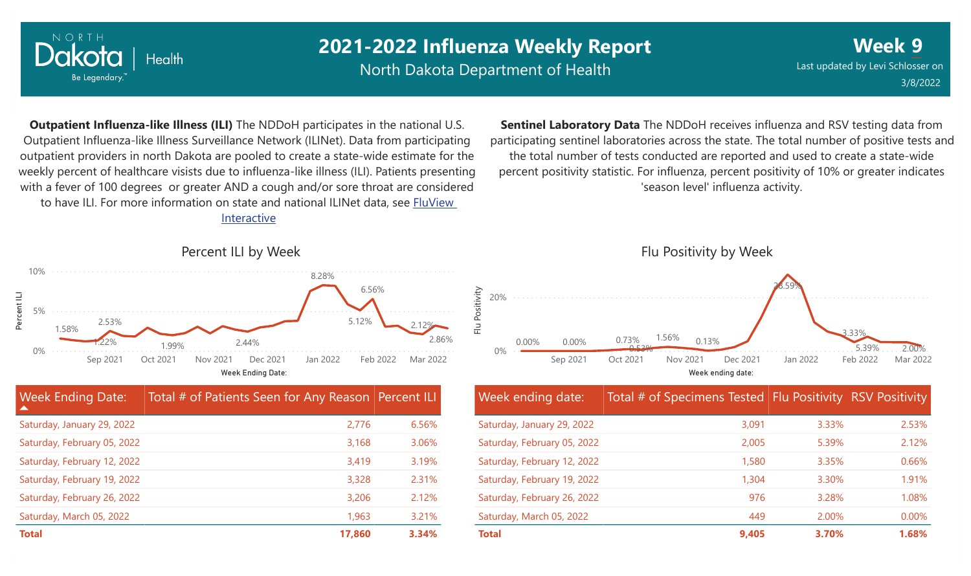

North Dakota Department of Health

**Week 9** Last updated by Levi Schlosser on 3/8/2022

**Outpatient Influenza-like Illness (ILI)** The NDDoH participates in the national U.S. Outpatient Influenza-like Illness Surveillance Network (ILINet). Data from participating outpatient providers in north Dakota are pooled to create a state-wide estimate for the weekly percent of healthcare visists due to influenza-like illness (ILI). Patients presenting with a fever of 100 degrees or greater AND a cough and/or sore throat are considered to have ILI. For more information [on state and national ILINet data, see FluView](http://fluview%20interactive/)

Interactive



**Sentinel Laboratory Data** The NDDoH receives influenza and RSV testing data from participating sentinel laboratories across the state. The total number of positive tests and the total number of tests conducted are reported and used to create a state-wide percent positivity statistic. For influenza, percent positivity of 10% or greater indicates 'season level' influenza activity.



| <b>Week ending date:</b>    | Total # of Specimens Tested Flu Positivity RSV Positivity |       |          |
|-----------------------------|-----------------------------------------------------------|-------|----------|
| Saturday, January 29, 2022  | 3,091                                                     | 3.33% | 2.53%    |
| Saturday, February 05, 2022 | 2,005                                                     | 5.39% | 2.12%    |
| Saturday, February 12, 2022 | 1,580                                                     | 3.35% | 0.66%    |
| Saturday, February 19, 2022 | 1,304                                                     | 3.30% | 1.91%    |
| Saturday, February 26, 2022 | 976                                                       | 3.28% | 1.08%    |
| Saturday, March 05, 2022    | 449                                                       | 2.00% | $0.00\%$ |
| <b>Total</b>                | 9,405                                                     | 3.70% | 1.68%    |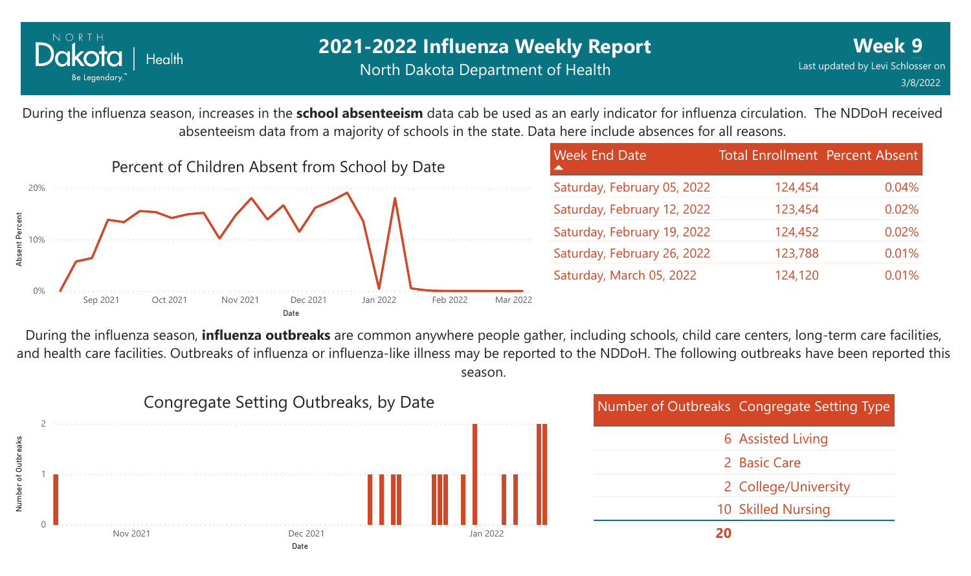

During the influenza season, increases in the **school absenteeism** data cab be used as an early indicator for influenza circulation. The NDDoH received absenteeism data from a majority of schools in the state. Data here include absences for all reasons.



| <b>Week End Date</b>        | <b>Total Enrollment Percent Absent</b> |       |
|-----------------------------|----------------------------------------|-------|
| Saturday, February 05, 2022 | 124,454                                | 0.04% |
| Saturday, February 12, 2022 | 123,454                                | 0.02% |
| Saturday, February 19, 2022 | 124,452                                | 0.02% |
| Saturday, February 26, 2022 | 123,788                                | 0.01% |
| Saturday, March 05, 2022    | 124,120                                | 0.01% |

During the influenza season, **influenza outbreaks** are common anywhere people gather, including schools, child care centers, long-term care facilities, and health care facilities. Outbreaks of influenza or influenza-like illness may be reported to the NDDoH. The following outbreaks have been reported this season.



| <b>Number of Outbreaks Congregate Setting Type</b> |
|----------------------------------------------------|
| <b>6 Assisted Living</b>                           |
| 2 Basic Care                                       |
| 2 College/University                               |
| 10 Skilled Nursing                                 |
|                                                    |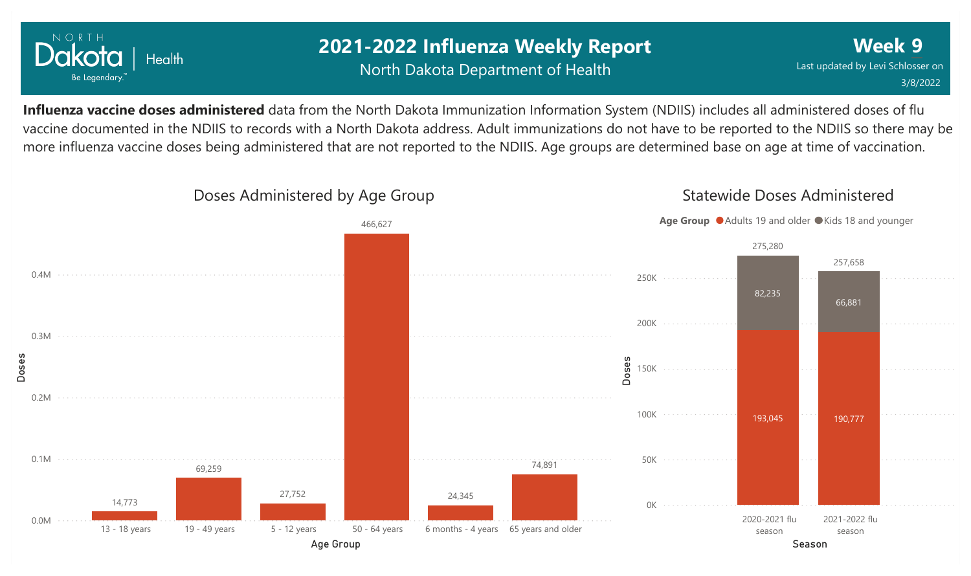

### **2021-2022 Influenza Weekly Report** North Dakota Department of Health

**Week 9** Last updated by Levi Schlosser on 3/8/2022

**Influenza vaccine doses administered** data from the North Dakota Immunization Information System (NDIIS) includes all administered doses of flu vaccine documented in the NDIIS to records with a North Dakota address. Adult immunizations do not have to be reported to the NDIIS so there may be more influenza vaccine doses being administered that are not reported to the NDIIS. Age groups are determined base on age at time of vaccination.

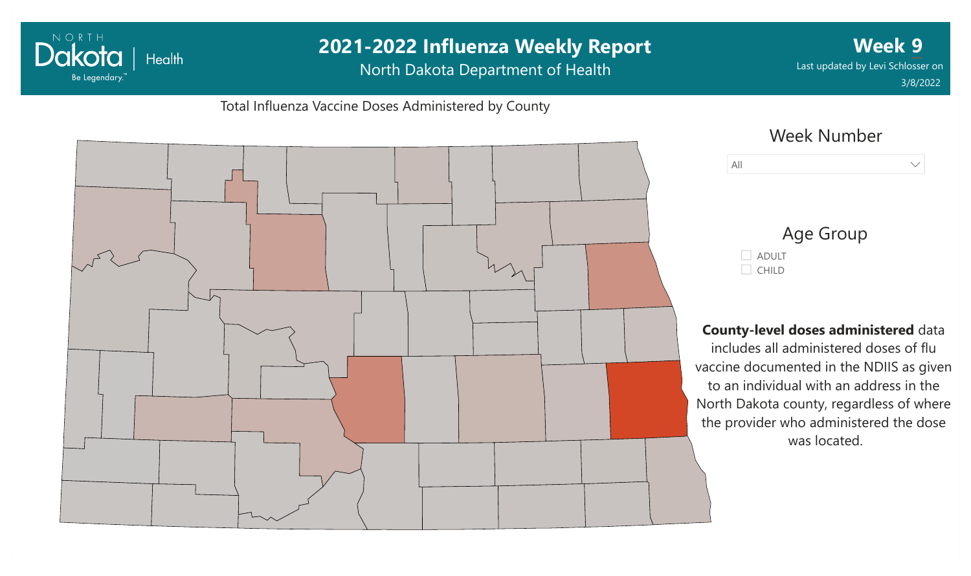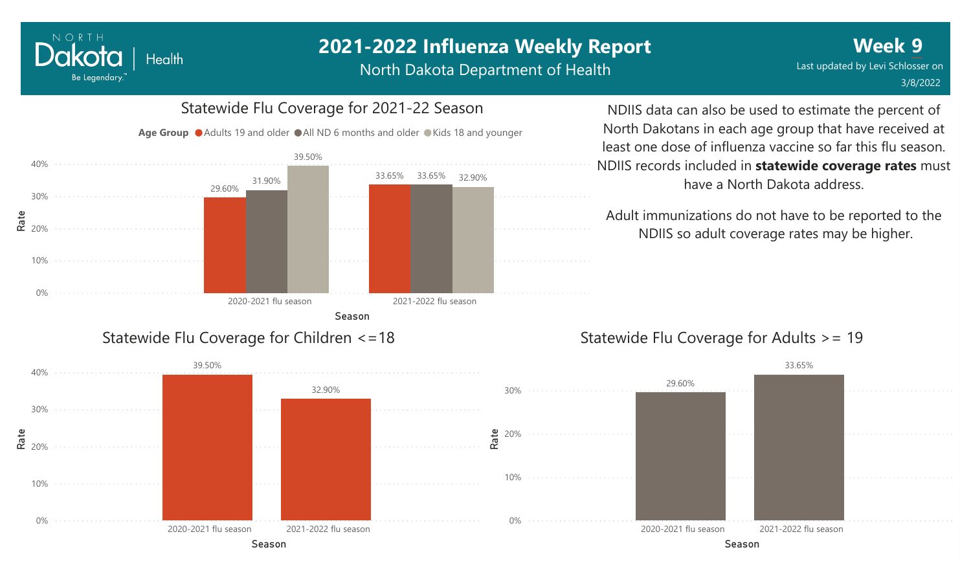North Dakota Department of Health



NORTH

Dakota

Be Legendary.

**Health** 

Statewide Flu Coverage for 2021-22 Season

#### NDIIS data can also be used to estimate the percent of North Dakotans in each age group that have received at least one dose of influenza vaccine so far this flu season. NDIIS records included in **statewide coverage rates** must have a North Dakota address.

Adult immunizations do not have to be reported to the NDIIS so adult coverage rates may be higher.

#### Statewide Flu Coverage for Adults >= 19